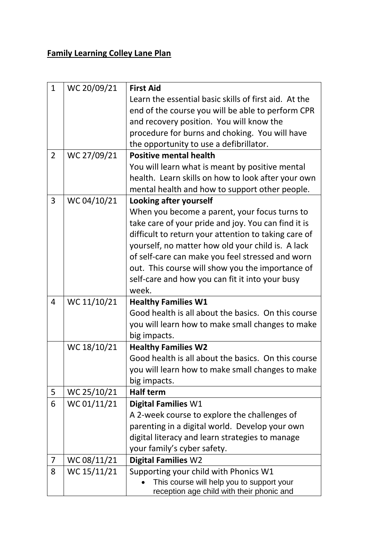## **Family Learning Colley Lane Plan**

| $\mathbf{1}$   | WC 20/09/21 | <b>First Aid</b>                                                                       |
|----------------|-------------|----------------------------------------------------------------------------------------|
|                |             | Learn the essential basic skills of first aid. At the                                  |
|                |             | end of the course you will be able to perform CPR                                      |
|                |             | and recovery position. You will know the                                               |
|                |             | procedure for burns and choking. You will have                                         |
|                |             | the opportunity to use a defibrillator.                                                |
| $\overline{2}$ | WC 27/09/21 | <b>Positive mental health</b>                                                          |
|                |             | You will learn what is meant by positive mental                                        |
|                |             | health. Learn skills on how to look after your own                                     |
|                |             | mental health and how to support other people.                                         |
| 3              | WC 04/10/21 | Looking after yourself                                                                 |
|                |             | When you become a parent, your focus turns to                                          |
|                |             | take care of your pride and joy. You can find it is                                    |
|                |             | difficult to return your attention to taking care of                                   |
|                |             | yourself, no matter how old your child is. A lack                                      |
|                |             | of self-care can make you feel stressed and worn                                       |
|                |             | out. This course will show you the importance of                                       |
|                |             | self-care and how you can fit it into your busy                                        |
|                |             | week.                                                                                  |
| 4              | WC 11/10/21 | <b>Healthy Families W1</b>                                                             |
|                |             | Good health is all about the basics. On this course                                    |
|                |             | you will learn how to make small changes to make                                       |
|                |             | big impacts.                                                                           |
|                | WC 18/10/21 | <b>Healthy Families W2</b>                                                             |
|                |             | Good health is all about the basics. On this course                                    |
|                |             | you will learn how to make small changes to make                                       |
|                |             | big impacts.                                                                           |
| 5              | WC 25/10/21 | <b>Half term</b>                                                                       |
| 6              | WC 01/11/21 | <b>Digital Families W1</b>                                                             |
|                |             | A 2-week course to explore the challenges of                                           |
|                |             | parenting in a digital world. Develop your own                                         |
|                |             | digital literacy and learn strategies to manage                                        |
|                |             | your family's cyber safety.                                                            |
| 7              | WC 08/11/21 | <b>Digital Families W2</b>                                                             |
| 8              | WC 15/11/21 | Supporting your child with Phonics W1                                                  |
|                |             | This course will help you to support your<br>reception age child with their phonic and |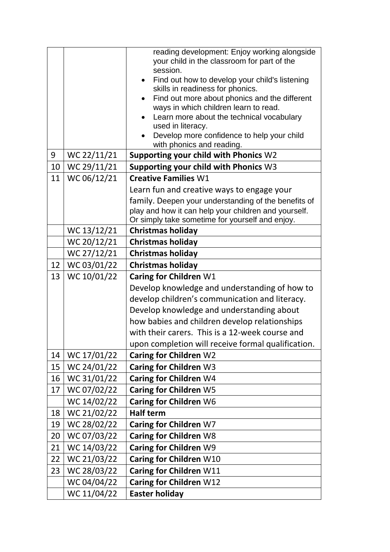|    |                            | reading development: Enjoy working alongside                   |
|----|----------------------------|----------------------------------------------------------------|
|    |                            | your child in the classroom for part of the<br>session.        |
|    |                            | Find out how to develop your child's listening                 |
|    |                            | skills in readiness for phonics.                               |
|    |                            | Find out more about phonics and the different                  |
|    |                            | ways in which children learn to read.                          |
|    |                            | Learn more about the technical vocabulary<br>used in literacy. |
|    |                            | Develop more confidence to help your child                     |
|    |                            | with phonics and reading.                                      |
| 9  | WC 22/11/21                | Supporting your child with Phonics W2                          |
| 10 | WC 29/11/21                | Supporting your child with Phonics W3                          |
| 11 | WC 06/12/21                | <b>Creative Families W1</b>                                    |
|    |                            | Learn fun and creative ways to engage your                     |
|    |                            | family. Deepen your understanding of the benefits of           |
|    |                            | play and how it can help your children and yourself.           |
|    |                            | Or simply take sometime for yourself and enjoy.                |
|    | WC 13/12/21<br>WC 20/12/21 | <b>Christmas holiday</b><br><b>Christmas holiday</b>           |
|    |                            |                                                                |
|    | WC 27/12/21                | <b>Christmas holiday</b>                                       |
| 12 | WC 03/01/22                | <b>Christmas holiday</b>                                       |
| 13 | WC 10/01/22                | Caring for Children W1                                         |
|    |                            | Develop knowledge and understanding of how to                  |
|    |                            | develop children's communication and literacy.                 |
|    |                            | Develop knowledge and understanding about                      |
|    |                            |                                                                |
|    |                            | how babies and children develop relationships                  |
|    |                            | with their carers. This is a 12-week course and                |
|    |                            | upon completion will receive formal qualification.             |
| 14 | WC 17/01/22                | <b>Caring for Children W2</b>                                  |
| 15 | WC 24/01/22                | Caring for Children W3                                         |
| 16 | WC 31/01/22                | Caring for Children W4                                         |
| 17 | WC 07/02/22                | Caring for Children W5                                         |
|    | WC 14/02/22                | Caring for Children W6                                         |
| 18 | WC 21/02/22                | <b>Half term</b>                                               |
| 19 | WC 28/02/22                | Caring for Children W7                                         |
| 20 | WC 07/03/22                | <b>Caring for Children W8</b>                                  |
| 21 | WC 14/03/22                | Caring for Children W9                                         |
| 22 | WC 21/03/22                | Caring for Children W10                                        |
| 23 | WC 28/03/22                | Caring for Children W11                                        |
|    | WC 04/04/22<br>WC 11/04/22 | Caring for Children W12<br><b>Easter holiday</b>               |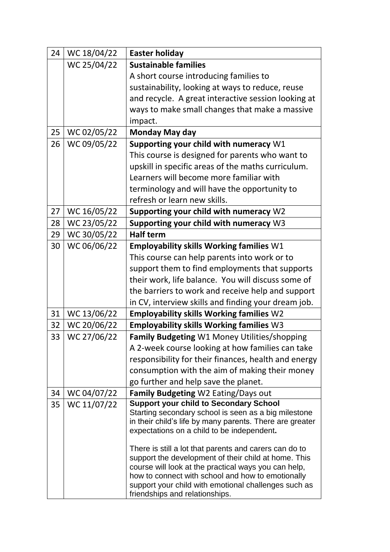| 24 | WC 18/04/22 | <b>Easter holiday</b>                                                                                            |
|----|-------------|------------------------------------------------------------------------------------------------------------------|
|    | WC 25/04/22 | <b>Sustainable families</b>                                                                                      |
|    |             | A short course introducing families to                                                                           |
|    |             | sustainability, looking at ways to reduce, reuse                                                                 |
|    |             | and recycle. A great interactive session looking at                                                              |
|    |             | ways to make small changes that make a massive                                                                   |
|    |             | impact.                                                                                                          |
| 25 | WC 02/05/22 | Monday May day                                                                                                   |
| 26 | WC 09/05/22 | Supporting your child with numeracy W1                                                                           |
|    |             | This course is designed for parents who want to                                                                  |
|    |             | upskill in specific areas of the maths curriculum.                                                               |
|    |             | Learners will become more familiar with                                                                          |
|    |             | terminology and will have the opportunity to                                                                     |
|    |             | refresh or learn new skills.                                                                                     |
| 27 | WC 16/05/22 | Supporting your child with numeracy W2                                                                           |
| 28 | WC 23/05/22 | Supporting your child with numeracy W3                                                                           |
| 29 | WC 30/05/22 | <b>Half term</b>                                                                                                 |
| 30 | WC 06/06/22 | <b>Employability skills Working families W1</b>                                                                  |
|    |             | This course can help parents into work or to                                                                     |
|    |             | support them to find employments that supports                                                                   |
|    |             | their work, life balance. You will discuss some of                                                               |
|    |             | the barriers to work and receive help and support                                                                |
|    |             | in CV, interview skills and finding your dream job.                                                              |
| 31 | WC 13/06/22 | <b>Employability skills Working families W2</b>                                                                  |
| 32 | WC 20/06/22 | <b>Employability skills Working families W3</b>                                                                  |
| 33 | WC 27/06/22 | Family Budgeting W1 Money Utilities/shopping                                                                     |
|    |             | A 2-week course looking at how families can take                                                                 |
|    |             | responsibility for their finances, health and energy                                                             |
|    |             | consumption with the aim of making their money                                                                   |
|    |             | go further and help save the planet.                                                                             |
| 34 | WC 04/07/22 | <b>Family Budgeting W2 Eating/Days out</b>                                                                       |
| 35 | WC 11/07/22 | <b>Support your child to Secondary School</b>                                                                    |
|    |             | Starting secondary school is seen as a big milestone<br>in their child's life by many parents. There are greater |
|    |             | expectations on a child to be independent.                                                                       |
|    |             |                                                                                                                  |
|    |             | There is still a lot that parents and carers can do to                                                           |
|    |             | support the development of their child at home. This                                                             |
|    |             | course will look at the practical ways you can help,<br>how to connect with school and how to emotionally        |
|    |             | support your child with emotional challenges such as                                                             |
|    |             | friendships and relationships.                                                                                   |